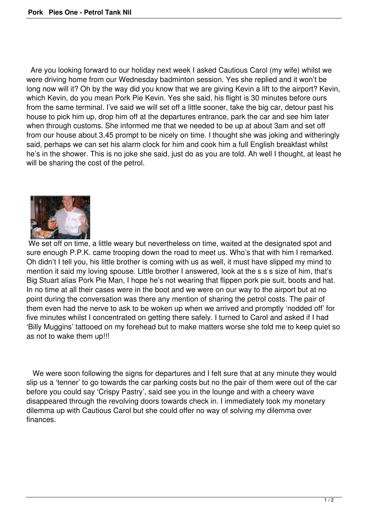Are you looking forward to our holiday next week I asked Cautious Carol (my wife) whilst we were driving home from our Wednesday badminton session. Yes she replied and it won't be long now will it? Oh by the way did you know that we are giving Kevin a lift to the airport? Kevin, which Kevin, do you mean Pork Pie Kevin. Yes she said, his flight is 30 minutes before ours from the same terminal. I've said we will set off a little sooner, take the big car, detour past his house to pick him up, drop him off at the departures entrance, park the car and see him later when through customs. She informed me that we needed to be up at about 3am and set off from our house about 3.45 prompt to be nicely on time. I thought she was joking and witheringly said, perhaps we can set his alarm clock for him and cook him a full English breakfast whilst he's in the shower. This is no joke she said, just do as you are told. Ah well I thought, at least he will be sharing the cost of the petrol.



 We set off on time, a little weary but nevertheless on time, waited at the designated spot and sure enough P.P.K. came trooping down the road to meet us. Who's that with him I remarked. Oh didn't I tell you, his little brother is coming with us as well, it must have slipped my mind to mention it said my loving spouse. Little brother I answered, look at the s s s size of him, that's Big Stuart alias Pork Pie Man, I hope he's not wearing that flippen pork pie suit, boots and hat. In no time at all their cases were in the boot and we were on our way to the airport but at no point during the conversation was there any mention of sharing the petrol costs. The pair of them even had the nerve to ask to be woken up when we arrived and promptly 'nodded off' for five minutes whilst I concentrated on getting there safely. I turned to Carol and asked if I had 'Billy Muggins' tattooed on my forehead but to make matters worse she told me to keep quiet so as not to wake them up!!!

 We were soon following the signs for departures and I felt sure that at any minute they would slip us a 'tenner' to go towards the car parking costs but no the pair of them were out of the car before you could say 'Crispy Pastry', said see you in the lounge and with a cheery wave disappeared through the revolving doors towards check in. I immediately took my monetary dilemma up with Cautious Carol but she could offer no way of solving my dilemma over finances.